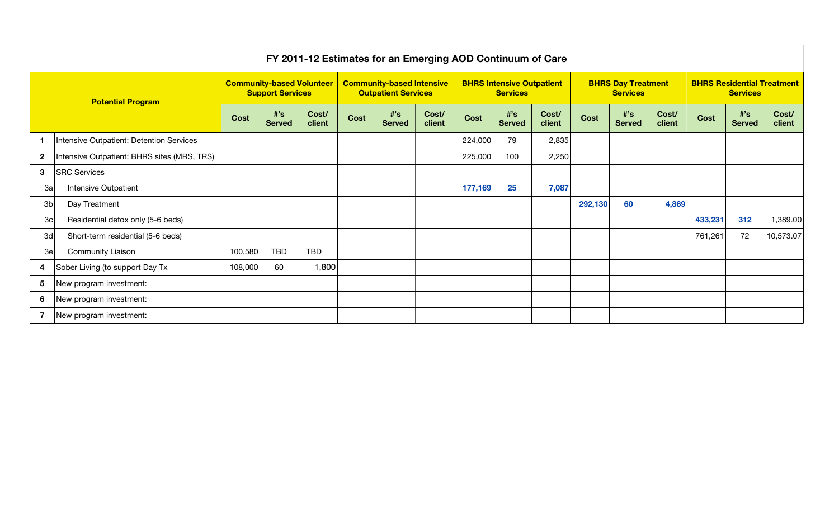| FY 2011-12 Estimates for an Emerging AOD Continuum of Care |                                             |                                                             |                     |                                                                |      |                                                     |                 |             |                                              |                 |             |                                                      |                 |             |                     |                 |
|------------------------------------------------------------|---------------------------------------------|-------------------------------------------------------------|---------------------|----------------------------------------------------------------|------|-----------------------------------------------------|-----------------|-------------|----------------------------------------------|-----------------|-------------|------------------------------------------------------|-----------------|-------------|---------------------|-----------------|
| <b>Potential Program</b>                                   |                                             | <b>Community-based Volunteer</b><br><b>Support Services</b> |                     | <b>Community-based Intensive</b><br><b>Outpatient Services</b> |      | <b>BHRS Intensive Outpatient</b><br><b>Services</b> |                 |             | <b>BHRS Day Treatment</b><br><b>Services</b> |                 |             | <b>BHRS Residential Treatment</b><br><b>Services</b> |                 |             |                     |                 |
|                                                            |                                             | <b>Cost</b>                                                 | #s<br><b>Served</b> | Cost/<br>client                                                | Cost | $#$ 's<br><b>Served</b>                             | Cost/<br>client | <b>Cost</b> | #s<br><b>Served</b>                          | Cost/<br>client | <b>Cost</b> | #s<br><b>Served</b>                                  | Cost/<br>client | <b>Cost</b> | #s<br><b>Served</b> | Cost/<br>client |
|                                                            | Intensive Outpatient: Detention Services    |                                                             |                     |                                                                |      |                                                     |                 | 224,000     | 79                                           | 2,835           |             |                                                      |                 |             |                     |                 |
| $\overline{2}$                                             | Intensive Outpatient: BHRS sites (MRS, TRS) |                                                             |                     |                                                                |      |                                                     |                 | 225,000     | 100                                          | 2,250           |             |                                                      |                 |             |                     |                 |
| 3                                                          | <b>SRC Services</b>                         |                                                             |                     |                                                                |      |                                                     |                 |             |                                              |                 |             |                                                      |                 |             |                     |                 |
| 3a                                                         | Intensive Outpatient                        |                                                             |                     |                                                                |      |                                                     |                 | 177,169     | 25                                           | 7,087           |             |                                                      |                 |             |                     |                 |
| 3 <sub>b</sub>                                             | Day Treatment                               |                                                             |                     |                                                                |      |                                                     |                 |             |                                              |                 | 292,130     | 60                                                   | 4,869           |             |                     |                 |
| 3c                                                         | Residential detox only (5-6 beds)           |                                                             |                     |                                                                |      |                                                     |                 |             |                                              |                 |             |                                                      |                 | 433,231     | 312                 | 1,389.00        |
| 3d                                                         | Short-term residential (5-6 beds)           |                                                             |                     |                                                                |      |                                                     |                 |             |                                              |                 |             |                                                      |                 | 761,261     | 72                  | 10,573.07       |
| 3e                                                         | <b>Community Liaison</b>                    | 100,580                                                     | <b>TBD</b>          | <b>TBD</b>                                                     |      |                                                     |                 |             |                                              |                 |             |                                                      |                 |             |                     |                 |
| 4                                                          | Sober Living (to support Day Tx             | 108,000                                                     | 60                  | 1,800                                                          |      |                                                     |                 |             |                                              |                 |             |                                                      |                 |             |                     |                 |
| 5                                                          | New program investment:                     |                                                             |                     |                                                                |      |                                                     |                 |             |                                              |                 |             |                                                      |                 |             |                     |                 |
| 6                                                          | New program investment:                     |                                                             |                     |                                                                |      |                                                     |                 |             |                                              |                 |             |                                                      |                 |             |                     |                 |
| 7                                                          | New program investment:                     |                                                             |                     |                                                                |      |                                                     |                 |             |                                              |                 |             |                                                      |                 |             |                     |                 |